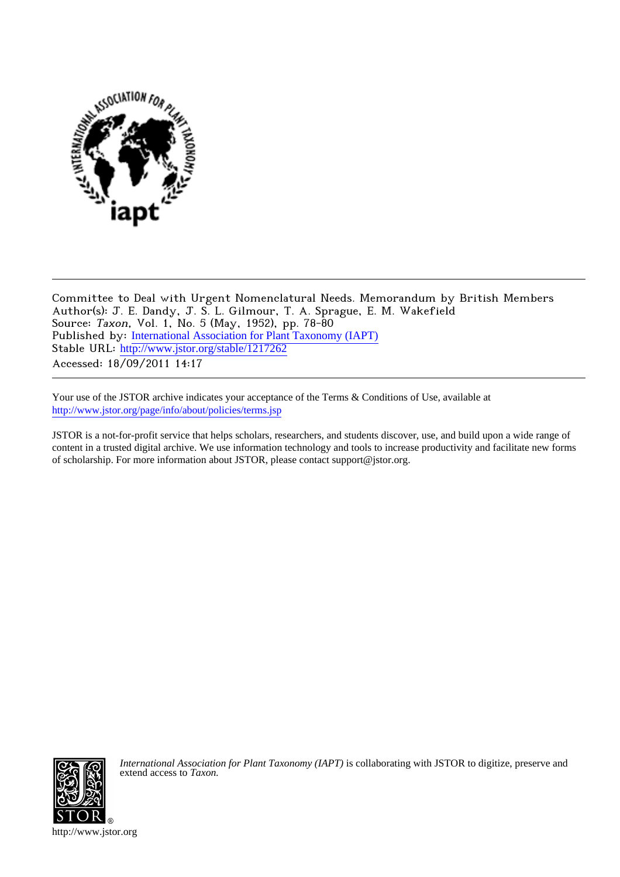

Committee to Deal with Urgent Nomenclatural Needs. Memorandum by British Members Author(s): J. E. Dandy, J. S. L. Gilmour, T. A. Sprague, E. M. Wakefield Source: Taxon, Vol. 1, No. 5 (May, 1952), pp. 78-80 Published by: [International Association for Plant Taxonomy \(IAPT\)](http://www.jstor.org/action/showPublisher?publisherCode=iapt) Stable URL: [http://www.jstor.org/stable/1217262](http://www.jstor.org/stable/1217262?origin=JSTOR-pdf) Accessed: 18/09/2011 14:17

Your use of the JSTOR archive indicates your acceptance of the Terms & Conditions of Use, available at <http://www.jstor.org/page/info/about/policies/terms.jsp>

JSTOR is a not-for-profit service that helps scholars, researchers, and students discover, use, and build upon a wide range of content in a trusted digital archive. We use information technology and tools to increase productivity and facilitate new forms of scholarship. For more information about JSTOR, please contact support@jstor.org.



*International Association for Plant Taxonomy (IAPT)* is collaborating with JSTOR to digitize, preserve and extend access to *Taxon.*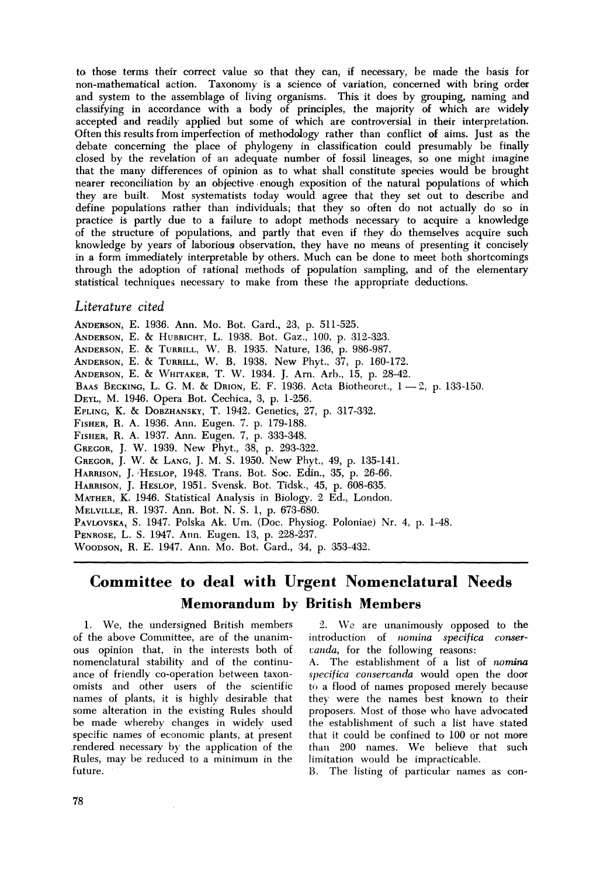**to those terms their correct value so that they can, if necessary, be made the basis for non-mathematical action. Taxonomy is a science of variation, concerned with bring order and system to the assemblage of living organisms. This it does by grouping, naming and classifying in accordance with a body of principles, the majority of which are widely accepted and readily applied but some of which are controversial in their interpretation. Often this results from imperfection of methodology rather than conflict of aims. Just as the debate concerning the place of phylogeny in classification could presumably be finally closed by the revelation of an adequate number of fossil lineages, so one might imagine that the many differences of opinion as to what shall constitute species would be brought nearer reconciliation by an objective enough exposition of the natural populations of which they are built. Most systematists today would agree that they set out to describe and define populations rather than individuals; that they so often do not actually do so in practice is partly due to a failure to adopt methods necessary to acquire a knowledge of the structure of populations, and partly that even if they do themselves acquire such knowledge by years of laborious observation, they have no means of presenting it concisely in a form immediately interpretable by others. Much can be done to meet both shortcomings through the adoption of rational methods of population sampling, and of the elementary statistical techniques necessary to make from these the appropriate deductions.** 

### **Literature cited**

**ANDERSON, E. 1936. Ann. Mo. Bot. Gard., 23, p. 511-525.** 

- **ANDERSON, E. & HUBRICHT, L. 1938. Bot. Gaz., 100, p. 312-323.**
- **ANDERSON, E. & TURRILL, W. B. 1935. Nature, 136, p. 986-987.**
- **ANDERSON, E. & TURRILL, W. B. 1938. New Phyt., 37, p. 160-172.**
- **ANDERSON, E. & WHITAKER, T. W. 1934. J. Arn. Arb., 15, p. 28-42.**
- BAAS BECKING, L. G. M. & DRION, E. F. 1936. Acta Biotheoret., 1-2, p. 133-150.
- **DEYL, M. 1946. Opera Bot. Cechica, 3, p. 1-256.**
- **EPLING, K. & DOBZHANSKY, T. 1942. Genetics, 27, p. 317-332.**
- **FISHER, R. A. 1936. Ann. Eugen. 7. p. 179-188.**
- **FISHER, R. A. 1937. Ann. Eugen. 7, p. 333-348.**
- **GREGOR, J. W. 1939. New Phyt., 38, p. 293-322.**
- **GREGOR, J. W. & LANG, J. M. S. 1950. New Phyt., 49, p. 135-141.**
- **HARRISON, J. 'HESLOP, 1948. Trans. Bot. Soc. Edin., 35, p. 26-66.**
- **HARRISON, J. HESLOP, 1951. Svensk. Bot. Tidsk., 45, p. 608-635.**
- **MATHER, K. 1946. Statistical Analysis in Biology. 2 Ed., London.**
- **MELVILLE, R. 1937. Ann. Bot. N. S. 1, p. 673-680.**

**PAVJOVSKA, S. 1947. Polska Ak. Um. (Doc. Physiog. Poloniae) Nr. 4, p. 1-48.** 

**PENROSE, L. S. 1947. Ann. Eugen. 13, p. 228-237.** 

**WOODSON, R. E. 1947. Ann. Mo. Bot. Gard., 34, p. 353-432.** 

# **Committee to deal with Urgent Nomenclatural Needs Memorandum by British Members**

**1. We, the undersigned British members of the above Committee, are of the unanimous opinion that, in the interests both of nomenclatural stability and of the continuance of friendly co-operation between taxonomists and other users of the scientific names of plants, it is highly desirable that some alteration in the existing Rules should be made whereby changes in widely used specific names of economic plants, at present .rendered necessary by the application of the Rules, may be reduced to a minimum in the future.** 

**2. We are unanimously opposed to the introduction of nomina specifica conservanda, for the following reasons:** 

**A. The establishment of a list of nomina specifica conservanda would open the door to a flood of names proposed merely because they were the names best known to their proposers. Most of those who have advocated the establishment of such a list have stated that it could be confined to 100 or not more than 200 names. We believe that such limitation would be impracticable.** 

**B. The listing of particular names as con-**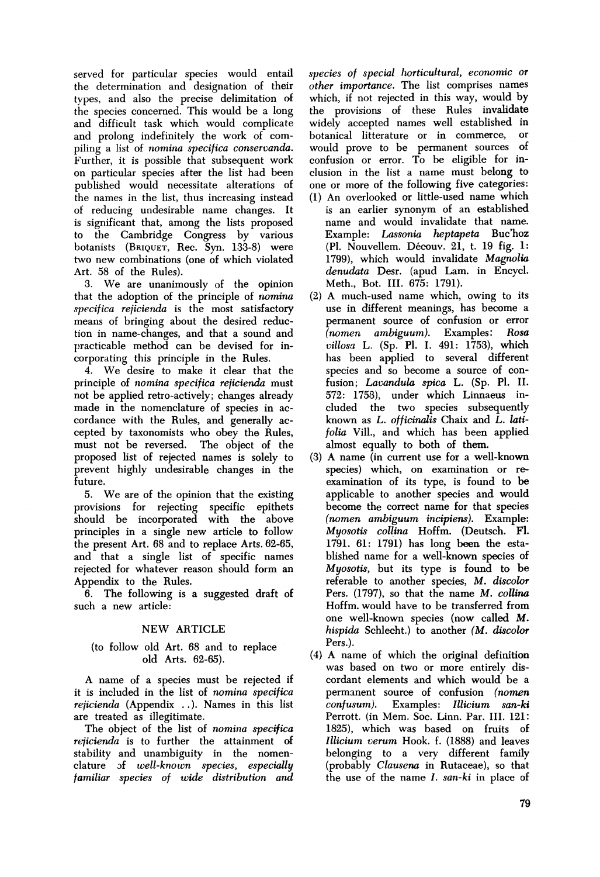**served for particular species would entail the determination and designation of their types, and also the precise delimitation of the species concerned. This would be a long and difficult task which would complicate and prolong indefinitely the work of compiling a list of nomina specifica conservanda. Further, it is possible that subsequent work on particular species after the list had been published would necessitate alterations of the names in the list, thus increasing instead of reducing undesirable name changes. It is significant that, among the lists proposed to the Cambridge Congress by various botanists (BRIQUET, Rec. Syn. 133-8) were two new combinations (one of which violated Art. 58 of the Rules).** 

**3. We are unanimously of the opinion that the adoption of the principle of nomina specifica rejicienda is the most satisfactory means of bringing about the desired reduction in name-changes, and that a sound and practicable method can be devised for incorporating this principle in the Rules.** 

**4. We desire to make it clear that the principle of nomina specifica rejicienda must not be applied retro-actively; changes already made in the nomenclature of species in accordance with the Rules, and generally accepted by taxonomists who obey the Rules, must not be reversed. The object of the proposed list of rejected names is solely to prevent highly undesirable changes in the future.** 

**5. We are of the opinion that the existing provisions for rejecting specific epithets should be incorporated with the above principles in a single new article to follow the present Art. 68 and to replace Arts. 62-65, and that a single list of specific names rejected for whatever reason should form an Appendix to the Rules.** 

**6. The following is a suggested draft of such a new article:** 

## **NEW ARTICLE**

#### **(to follow old Art. 68 and to replace old Arts. 62-65).**

**A name of a species must be rejected if it is included in the list of nomina specifica rejicienda (Appendix ..). Names in this list are treated as illegitimate.** 

**The object of the list of nomina specifica rejicienda is to further the attainment of stability and unambiguity in the nomenclature of well-knowun species, especially familiar species of wide distribution and**  **species of special horticultural, economic or other importance. The list comprises names which, if not rejected in this way, would by the provisions of these Rules invalidate widely accepted names well established in**  botanical litterature or in commerce, **would prove to be permanent sources of confusion or error. To be eligible for inclusion in the list a name must belong to one or more of the following five categories:** 

- **(1) An overlooked or little-used name which is an earlier synonym of an established name and would invalidate that name. Example: Lassonia heptapeta Buc'hoz (P1. Nouvellem. Decouv. 21, t. 19 fig. 1: 1799), which would invalidate Magnolia denudata Desr. (apud Lam. in Encycl. Meth., Bot. III. 675: 1791).**
- **(2) A much-used name which, owing to its use in different meanings, has become a permanent source of confusion or error**  (nomen ambiguum). Examples: **villosa L. (Sp. P1. I. 491: 1753), which has been applied to several different species and so become a source of confusion; Lavandula spica L. (Sp. P1. II. 572: 1758), under which Linnaeus included the two species subsequently known as L. officinalis Chaix and L. latifolia Vill., and which has been applied almost equally to both of them.**
- **(3) A name (in current use for a well-known species) which, on examination or reexamination of its type, is found to be applicable to another species and would become the correct name for that species (nomen ambiguum incipiens). Example: Myosotis collina Hoffm. (Deutsch. Fl. 1791. 61: 1791) has long been the established name for a well-known species of Myosotis, but its type is found to be referable to another species, M. discolor Pers. (1797), so that the name M. collina Hoffm. would have to be transferred from one well-known species (now called M. hispida Schlecht.) to another (M. discolor Pers.).**
- **(4) A name of which the original definition was based on two or more entirely discordant elements and which would be a permanent source of confusion (nomen confusum). Examples: Illicium san-ki Perrott. (in Mem. Soc. Linn. Par. III. 121: 1825), which was based on fruits of Illicium verum Hook. f. (1888) and leaves belonging to a very different family (probably Clausena in Rutaceae), so that the use of the name I. san-ki in place of**